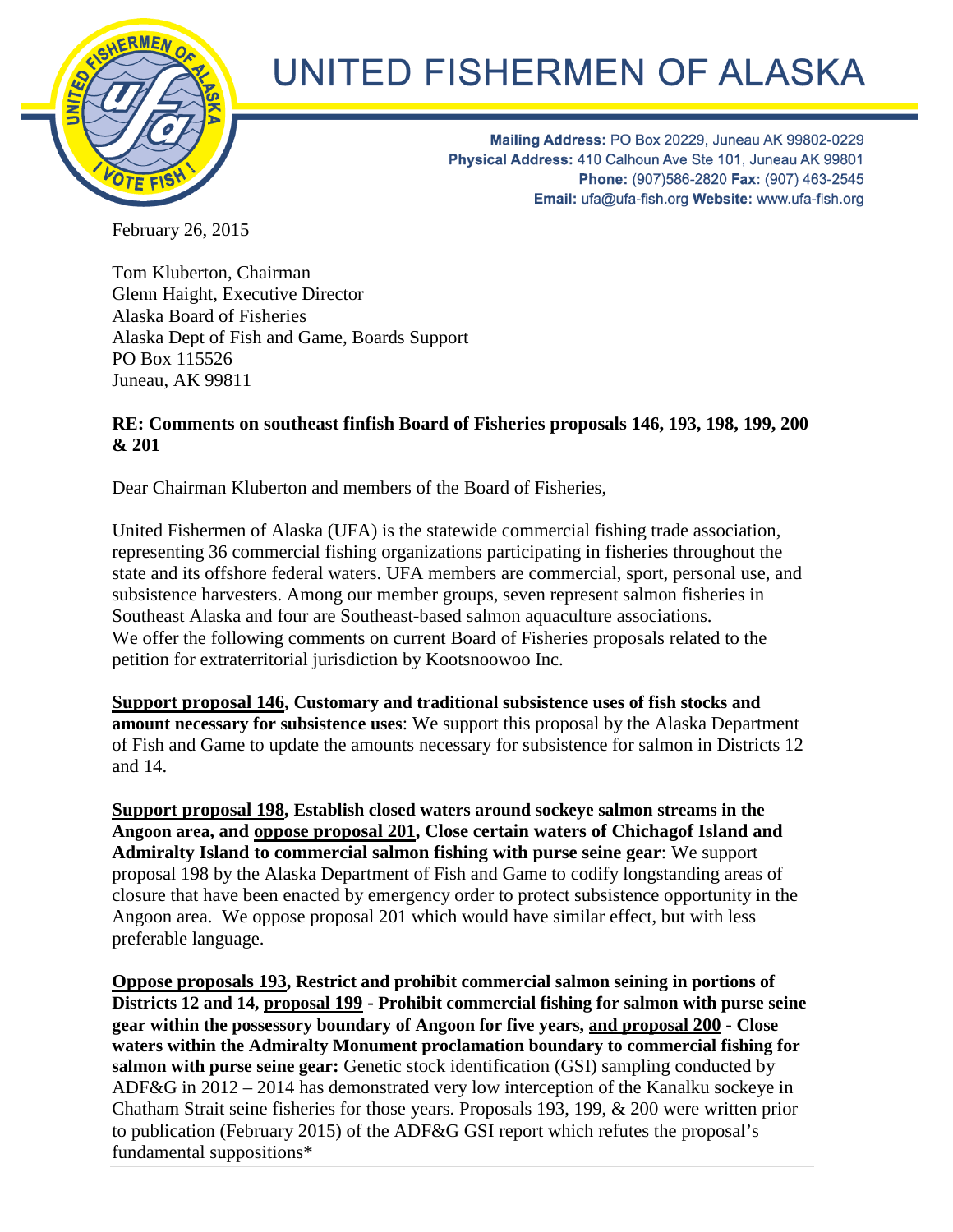

## UNITED FISHERMEN OF ALASKA

Mailing Address: PO Box 20229, Juneau AK 99802-0229 Physical Address: 410 Calhoun Ave Ste 101, Juneau AK 99801 Phone: (907)586-2820 Fax: (907) 463-2545 Email: ufa@ufa-fish.org Website: www.ufa-fish.org

February 26, 2015

Tom Kluberton, Chairman Glenn Haight, Executive Director Alaska Board of Fisheries Alaska Dept of Fish and Game, Boards Support PO Box 115526 Juneau, AK 99811

## **RE: Comments on southeast finfish Board of Fisheries proposals 146, 193, 198, 199, 200 & 201**

Dear Chairman Kluberton and members of the Board of Fisheries,

United Fishermen of Alaska (UFA) is the statewide commercial fishing trade association, representing 36 commercial fishing organizations participating in fisheries throughout the state and its offshore federal waters. UFA members are commercial, sport, personal use, and subsistence harvesters. Among our member groups, seven represent salmon fisheries in Southeast Alaska and four are Southeast-based salmon aquaculture associations. We offer the following comments on current Board of Fisheries proposals related to the petition for extraterritorial jurisdiction by Kootsnoowoo Inc.

**Support proposal 146, Customary and traditional subsistence uses of fish stocks and amount necessary for subsistence uses**: We support this proposal by the Alaska Department of Fish and Game to update the amounts necessary for subsistence for salmon in Districts 12 and 14.

**Support proposal 198, Establish closed waters around sockeye salmon streams in the Angoon area, and oppose proposal 201, Close certain waters of Chichagof Island and Admiralty Island to commercial salmon fishing with purse seine gear**: We support proposal 198 by the Alaska Department of Fish and Game to codify longstanding areas of closure that have been enacted by emergency order to protect subsistence opportunity in the Angoon area. We oppose proposal 201 which would have similar effect, but with less preferable language.

**Oppose proposals 193, Restrict and prohibit commercial salmon seining in portions of Districts 12 and 14, proposal 199 - Prohibit commercial fishing for salmon with purse seine gear within the possessory boundary of Angoon for five years, and proposal 200 - Close waters within the Admiralty Monument proclamation boundary to commercial fishing for salmon with purse seine gear:** Genetic stock identification (GSI) sampling conducted by ADF&G in 2012 – 2014 has demonstrated very low interception of the Kanalku sockeye in Chatham Strait seine fisheries for those years. Proposals 193, 199, & 200 were written prior to publication (February 2015) of the ADF&G GSI report which refutes the proposal's fundamental suppositions\*